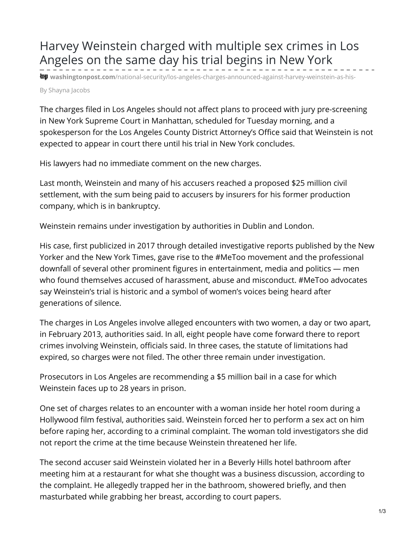## Harvey Weinstein charged with multiple sex crimes in Los Angeles on the same day his trial begins in New York

**washingtonpost.com**[/national-security/los-angeles-charges-announced-against-harvey-weinstein-as-his-](https://www.washingtonpost.com/national-security/los-angeles-charges-announced-against-harvey-weinstein-as-his-manhattan-trial-begins/2020/01/06/74f3fb20-30b4-11ea-9313-6cba89b1b9fb_story.html)

By Shayna Jacobs **many and the ginal-begins of the story.** 

The charges filed in Los Angeles should not affect plans to proceed with jury pre-screening in New York Supreme Court in Manhattan, scheduled for Tuesday morning, and a spokesperson for the Los Angeles County District Attorney's Office said that Weinstein is not expected to appear in court there until his trial in New York concludes.

His lawyers had no immediate comment on the new charges.

Last month, Weinstein and many of his accusers reached a proposed \$25 million civil settlement, with the sum being paid to accusers by insurers for his former production company, which is in bankruptcy.

Weinstein remains under investigation by authorities in Dublin and London.

His case, first publicized in 2017 through detailed investigative reports published by the New Yorker and the New York Times, gave rise to the #MeToo movement and the professional downfall of several other prominent figures in entertainment, media and politics — men who found themselves accused of harassment, abuse and misconduct. #MeToo advocates say Weinstein's trial is historic and a symbol of women's voices being heard after generations of silence.

The charges in Los Angeles involve alleged encounters with two women, a day or two apart, in February 2013, authorities said. In all, eight people have come forward there to report crimes involving Weinstein, officials said. In three cases, the statute of limitations had expired, so charges were not filed. The other three remain under investigation.

Prosecutors in Los Angeles are recommending a \$5 million bail in a case for which Weinstein faces up to 28 years in prison.

One set of charges relates to an encounter with a woman inside her hotel room during a Hollywood film festival, authorities said. Weinstein forced her to perform a sex act on him before raping her, according to a criminal complaint. The woman told investigators she did not report the crime at the time because Weinstein threatened her life.

The second accuser said Weinstein violated her in a Beverly Hills hotel bathroom after meeting him at a restaurant for what she thought was a business discussion, according to the complaint. He allegedly trapped her in the bathroom, showered briefly, and then masturbated while grabbing her breast, according to court papers.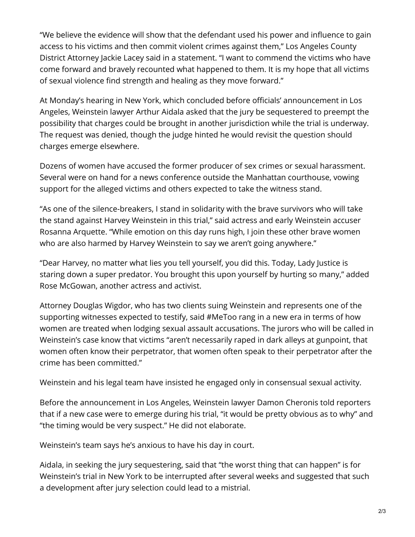"We believe the evidence will show that the defendant used his power and influence to gain access to his victims and then commit violent crimes against them," Los Angeles County District Attorney Jackie Lacey said in a statement. "I want to commend the victims who have come forward and bravely recounted what happened to them. It is my hope that all victims of sexual violence find strength and healing as they move forward."

At Monday's hearing in New York, which concluded before officials' announcement in Los Angeles, Weinstein lawyer Arthur Aidala asked that the jury be sequestered to preempt the possibility that charges could be brought in another jurisdiction while the trial is underway. The request was denied, though the judge hinted he would revisit the question should charges emerge elsewhere.

Dozens of women have accused the former producer of sex crimes or sexual harassment. Several were on hand for a news conference outside the Manhattan courthouse, vowing support for the alleged victims and others expected to take the witness stand.

"As one of the silence-breakers, I stand in solidarity with the brave survivors who will take the stand against Harvey Weinstein in this trial," said actress and early Weinstein accuser Rosanna Arquette. "While emotion on this day runs high, I join these other brave women who are also harmed by Harvey Weinstein to say we aren't going anywhere."

"Dear Harvey, no matter what lies you tell yourself, you did this. Today, Lady Justice is staring down a super predator. You brought this upon yourself by hurting so many," added Rose McGowan, another actress and activist.

Attorney Douglas Wigdor, who has two clients suing Weinstein and represents one of the supporting witnesses expected to testify, said #MeToo rang in a new era in terms of how women are treated when lodging sexual assault accusations. The jurors who will be called in Weinstein's case know that victims "aren't necessarily raped in dark alleys at gunpoint, that women often know their perpetrator, that women often speak to their perpetrator after the crime has been committed."

Weinstein and his legal team have insisted he engaged only in consensual sexual activity.

Before the announcement in Los Angeles, Weinstein lawyer Damon Cheronis told reporters that if a new case were to emerge during his trial, "it would be pretty obvious as to why" and "the timing would be very suspect." He did not elaborate.

Weinstein's team says he's anxious to have his day in court.

Aidala, in seeking the jury sequestering, said that "the worst thing that can happen" is for Weinstein's trial in New York to be interrupted after several weeks and suggested that such a development after jury selection could lead to a mistrial.